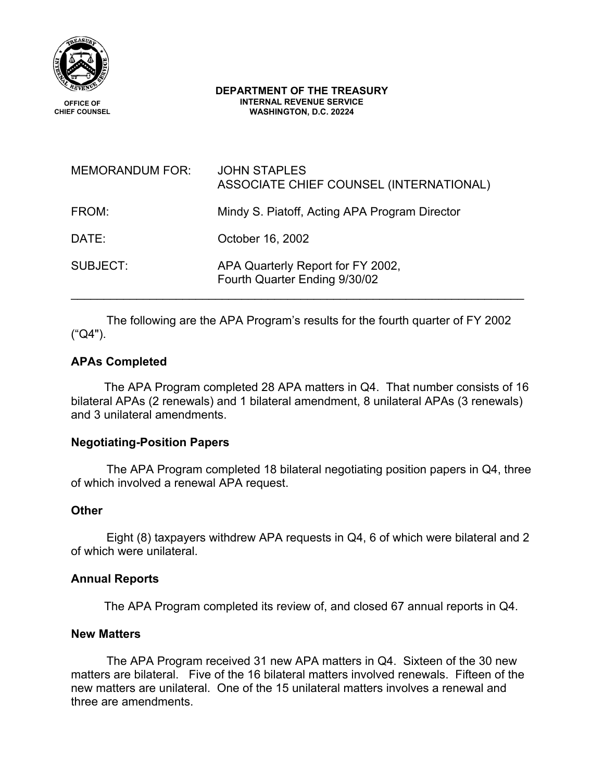

#### **DEPARTMENT OF THE TREASURY INTERNAL REVENUE SERVICE WASHINGTON, D.C. 20224**

| <b>MEMORANDUM FOR:</b> | <b>JOHN STAPLES</b><br>ASSOCIATE CHIEF COUNSEL (INTERNATIONAL)     |
|------------------------|--------------------------------------------------------------------|
| FROM:                  | Mindy S. Piatoff, Acting APA Program Director                      |
| DATE:                  | October 16, 2002                                                   |
| SUBJECT:               | APA Quarterly Report for FY 2002,<br>Fourth Quarter Ending 9/30/02 |

The following are the APA Program's results for the fourth quarter of FY 2002 ("Q4").

# **APAs Completed**

 The APA Program completed 28 APA matters in Q4. That number consists of 16 bilateral APAs (2 renewals) and 1 bilateral amendment, 8 unilateral APAs (3 renewals) and 3 unilateral amendments.

# **Negotiating-Position Papers**

The APA Program completed 18 bilateral negotiating position papers in Q4, three of which involved a renewal APA request.

### **Other**

Eight (8) taxpayers withdrew APA requests in Q4, 6 of which were bilateral and 2 of which were unilateral.

#### **Annual Reports**

The APA Program completed its review of, and closed 67 annual reports in Q4.

#### **New Matters**

The APA Program received 31 new APA matters in Q4. Sixteen of the 30 new matters are bilateral. Five of the 16 bilateral matters involved renewals. Fifteen of the new matters are unilateral. One of the 15 unilateral matters involves a renewal and three are amendments.